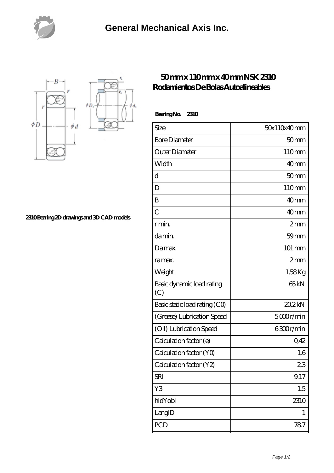



**[2310 Bearing 2D drawings and 3D CAD models](https://nfbxa.com/pic-64784983.html)**

## **[50 mm x 110 mm x 40 mm NSK 2310](https://nfbxa.com/af-64784983-nsk-2310-rodamientos-de-bolas-autoalineables.html) [Rodamientos De Bolas Autoalineables](https://nfbxa.com/af-64784983-nsk-2310-rodamientos-de-bolas-autoalineables.html)**

 **Bearing No. 2310**

| Size                             | 50x110x40mm         |
|----------------------------------|---------------------|
| <b>Bore Diameter</b>             | 50 <sub>mm</sub>    |
| Outer Diameter                   | 110mm               |
| Width                            | 40 <sub>mm</sub>    |
| $\mathbf d$                      | 50 <sub>mm</sub>    |
| D                                | 110mm               |
| B                                | 40 <sub>mm</sub>    |
| $\overline{C}$                   | 40 <sub>mm</sub>    |
| r min.                           | 2mm                 |
| da min.                          | $59$ mm             |
| Damax.                           | $101 \,\mathrm{mm}$ |
| ra max.                          | $2 \text{mm}$       |
| Weight                           | 1,58Kg              |
| Basic dynamic load rating<br>(C) | 65 <sub>kN</sub>    |
| Basic static load rating (CO)    | 20.2kN              |
| (Grease) Lubrication Speed       | 5000r/min           |
| (Oil) Lubrication Speed          | 6300r/min           |
| Calculation factor (e)           | 0,42                |
| Calculation factor (YO)          | 1,6                 |
| Calculation factor (Y2)          | 23                  |
| <b>SRI</b>                       | 9.17                |
| Y3                               | 1.5                 |
| hidYobi                          | 2310                |
| LangID                           | 1                   |
| <b>PCD</b>                       | 787                 |